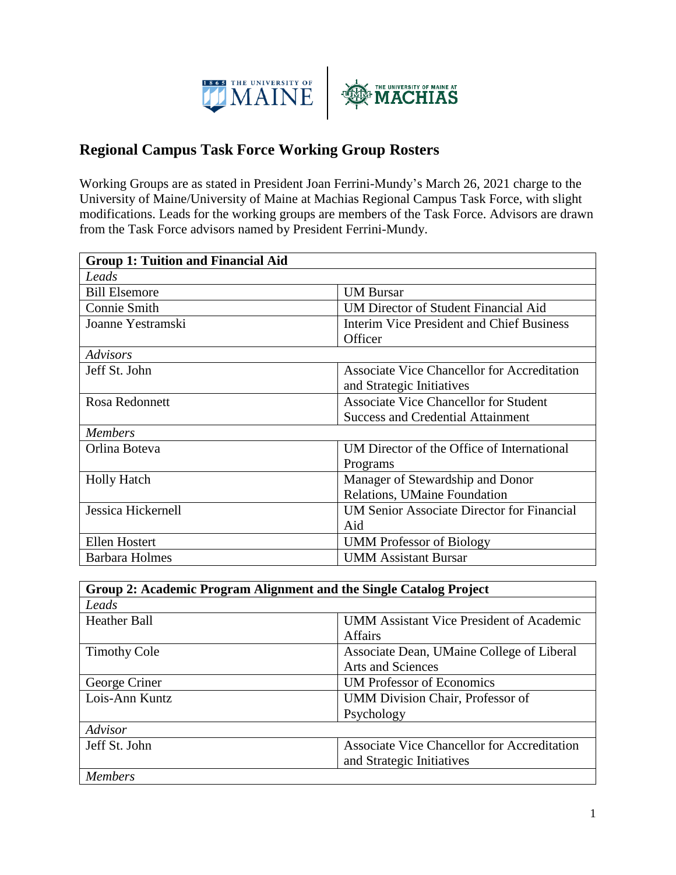

## **Regional Campus Task Force Working Group Rosters**

Working Groups are as stated in President Joan Ferrini-Mundy's March 26, 2021 charge to the University of Maine/University of Maine at Machias Regional Campus Task Force, with slight modifications. Leads for the working groups are members of the Task Force. Advisors are drawn from the Task Force advisors named by President Ferrini-Mundy.

| <b>Group 1: Tuition and Financial Aid</b> |                                                    |
|-------------------------------------------|----------------------------------------------------|
| Leads                                     |                                                    |
| <b>Bill Elsemore</b>                      | <b>UM Bursar</b>                                   |
| <b>Connie Smith</b>                       | <b>UM Director of Student Financial Aid</b>        |
| Joanne Yestramski                         | <b>Interim Vice President and Chief Business</b>   |
|                                           | Officer                                            |
| <b>Advisors</b>                           |                                                    |
| Jeff St. John                             | <b>Associate Vice Chancellor for Accreditation</b> |
|                                           | and Strategic Initiatives                          |
| Rosa Redonnett                            | <b>Associate Vice Chancellor for Student</b>       |
|                                           | <b>Success and Credential Attainment</b>           |
| <b>Members</b>                            |                                                    |
| Orlina Boteva                             | UM Director of the Office of International         |
|                                           | Programs                                           |
| <b>Holly Hatch</b>                        | Manager of Stewardship and Donor                   |
|                                           | Relations, UMaine Foundation                       |
| Jessica Hickernell                        | <b>UM Senior Associate Director for Financial</b>  |
|                                           | Aid                                                |
| Ellen Hostert                             | <b>UMM</b> Professor of Biology                    |
| <b>Barbara Holmes</b>                     | <b>UMM Assistant Bursar</b>                        |

| Group 2: Academic Program Alignment and the Single Catalog Project |                                                                                 |
|--------------------------------------------------------------------|---------------------------------------------------------------------------------|
| Leads                                                              |                                                                                 |
| <b>Heather Ball</b>                                                | <b>UMM Assistant Vice President of Academic</b><br><b>Affairs</b>               |
| <b>Timothy Cole</b>                                                | Associate Dean, UMaine College of Liberal<br><b>Arts and Sciences</b>           |
| George Criner                                                      | <b>UM Professor of Economics</b>                                                |
| Lois-Ann Kuntz                                                     | UMM Division Chair, Professor of<br>Psychology                                  |
| Advisor                                                            |                                                                                 |
| Jeff St. John                                                      | <b>Associate Vice Chancellor for Accreditation</b><br>and Strategic Initiatives |
| <b>Members</b>                                                     |                                                                                 |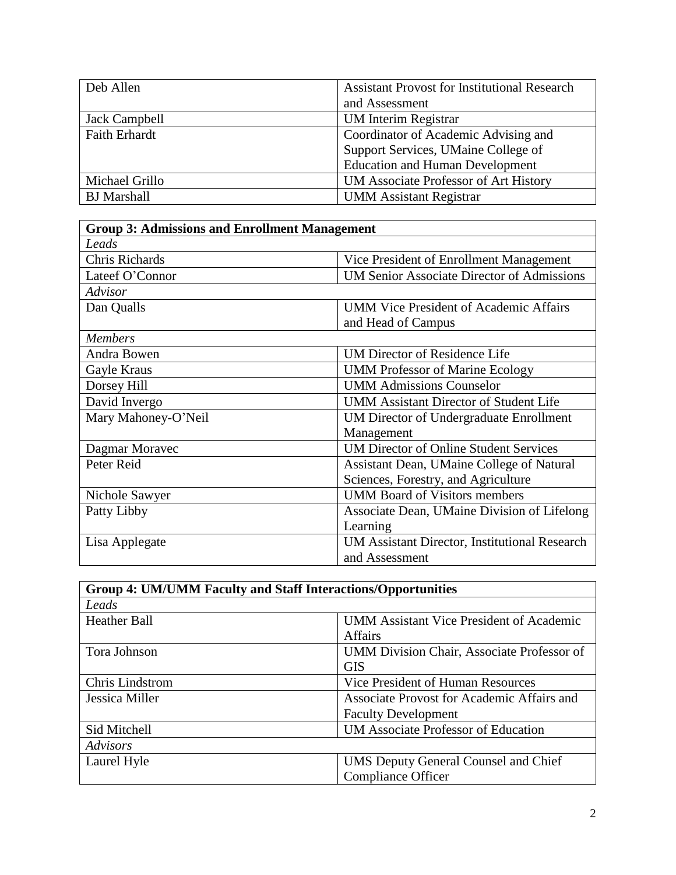| Deb Allen            | <b>Assistant Provost for Institutional Research</b> |
|----------------------|-----------------------------------------------------|
|                      | and Assessment                                      |
| Jack Campbell        | <b>UM</b> Interim Registrar                         |
| <b>Faith Erhardt</b> | Coordinator of Academic Advising and                |
|                      | Support Services, UMaine College of                 |
|                      | <b>Education and Human Development</b>              |
| Michael Grillo       | UM Associate Professor of Art History               |
| <b>BJ</b> Marshall   | <b>UMM Assistant Registrar</b>                      |

| <b>Group 3: Admissions and Enrollment Management</b> |                                                   |
|------------------------------------------------------|---------------------------------------------------|
| Leads                                                |                                                   |
| <b>Chris Richards</b>                                | Vice President of Enrollment Management           |
| Lateef O'Connor                                      | <b>UM Senior Associate Director of Admissions</b> |
| Advisor                                              |                                                   |
| Dan Qualls                                           | <b>UMM Vice President of Academic Affairs</b>     |
|                                                      | and Head of Campus                                |
| <b>Members</b>                                       |                                                   |
| Andra Bowen                                          | <b>UM Director of Residence Life</b>              |
| Gayle Kraus                                          | <b>UMM Professor of Marine Ecology</b>            |
| Dorsey Hill                                          | <b>UMM Admissions Counselor</b>                   |
| David Invergo                                        | <b>UMM Assistant Director of Student Life</b>     |
| Mary Mahoney-O'Neil                                  | <b>UM Director of Undergraduate Enrollment</b>    |
|                                                      | Management                                        |
| Dagmar Moravec                                       | <b>UM Director of Online Student Services</b>     |
| Peter Reid                                           | Assistant Dean, UMaine College of Natural         |
|                                                      | Sciences, Forestry, and Agriculture               |
| Nichole Sawyer                                       | <b>UMM Board of Visitors members</b>              |
| Patty Libby                                          | Associate Dean, UMaine Division of Lifelong       |
|                                                      | Learning                                          |
| Lisa Applegate                                       | UM Assistant Director, Institutional Research     |
|                                                      | and Assessment                                    |

| <b>Group 4: UM/UMM Faculty and Staff Interactions/Opportunities</b> |                                                 |
|---------------------------------------------------------------------|-------------------------------------------------|
| Leads                                                               |                                                 |
| <b>Heather Ball</b>                                                 | <b>UMM Assistant Vice President of Academic</b> |
|                                                                     | <b>Affairs</b>                                  |
| Tora Johnson                                                        | UMM Division Chair, Associate Professor of      |
|                                                                     | <b>GIS</b>                                      |
| <b>Chris Lindstrom</b>                                              | Vice President of Human Resources               |
| Jessica Miller                                                      | Associate Provost for Academic Affairs and      |
|                                                                     | <b>Faculty Development</b>                      |
| Sid Mitchell                                                        | <b>UM Associate Professor of Education</b>      |
| Advisors                                                            |                                                 |
| Laurel Hyle                                                         | <b>UMS Deputy General Counsel and Chief</b>     |
|                                                                     | <b>Compliance Officer</b>                       |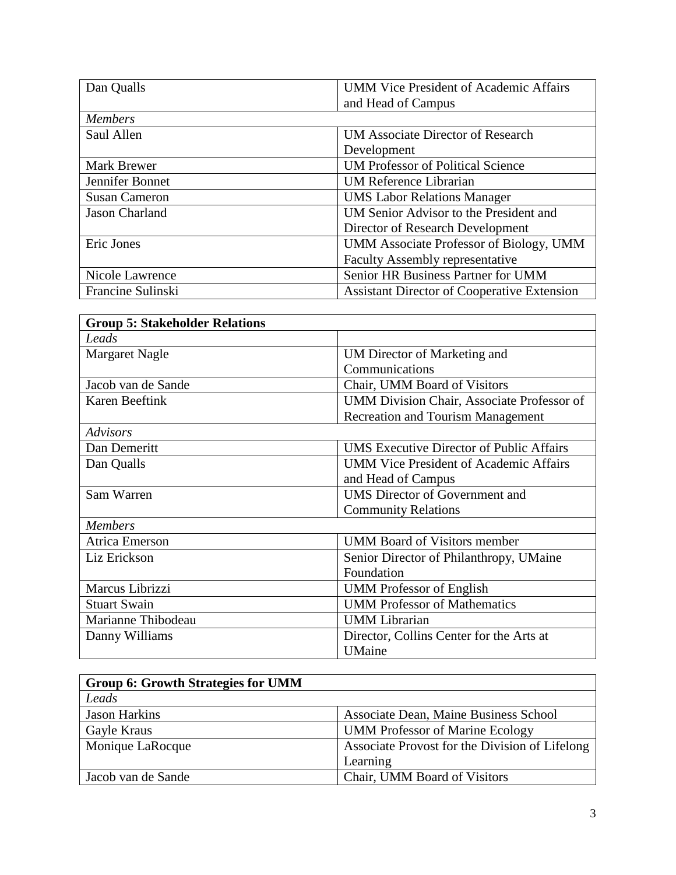| Dan Qualls            | <b>UMM Vice President of Academic Affairs</b>      |
|-----------------------|----------------------------------------------------|
|                       | and Head of Campus                                 |
| <b>Members</b>        |                                                    |
| Saul Allen            | UM Associate Director of Research                  |
|                       | Development                                        |
| <b>Mark Brewer</b>    | <b>UM Professor of Political Science</b>           |
| Jennifer Bonnet       | <b>UM Reference Librarian</b>                      |
| <b>Susan Cameron</b>  | <b>UMS Labor Relations Manager</b>                 |
| <b>Jason Charland</b> | UM Senior Advisor to the President and             |
|                       | Director of Research Development                   |
| Eric Jones            | UMM Associate Professor of Biology, UMM            |
|                       | <b>Faculty Assembly representative</b>             |
| Nicole Lawrence       | Senior HR Business Partner for UMM                 |
| Francine Sulinski     | <b>Assistant Director of Cooperative Extension</b> |

| <b>Group 5: Stakeholder Relations</b> |                                                 |
|---------------------------------------|-------------------------------------------------|
| Leads                                 |                                                 |
| <b>Margaret Nagle</b>                 | UM Director of Marketing and                    |
|                                       | Communications                                  |
| Jacob van de Sande                    | Chair, UMM Board of Visitors                    |
| <b>Karen Beeftink</b>                 | UMM Division Chair, Associate Professor of      |
|                                       | <b>Recreation and Tourism Management</b>        |
| <b>Advisors</b>                       |                                                 |
| Dan Demeritt                          | <b>UMS</b> Executive Director of Public Affairs |
| Dan Qualls                            | <b>UMM Vice President of Academic Affairs</b>   |
|                                       | and Head of Campus                              |
| Sam Warren                            | <b>UMS</b> Director of Government and           |
|                                       | <b>Community Relations</b>                      |
| <b>Members</b>                        |                                                 |
| <b>Atrica Emerson</b>                 | <b>UMM Board of Visitors member</b>             |
| Liz Erickson                          | Senior Director of Philanthropy, UMaine         |
|                                       | Foundation                                      |
| Marcus Librizzi                       | <b>UMM</b> Professor of English                 |
| <b>Stuart Swain</b>                   | <b>UMM Professor of Mathematics</b>             |
| Marianne Thibodeau                    | <b>UMM</b> Librarian                            |
| Danny Williams                        | Director, Collins Center for the Arts at        |
|                                       | <b>UMaine</b>                                   |

| <b>Group 6: Growth Strategies for UMM</b> |                                                |
|-------------------------------------------|------------------------------------------------|
| Leads                                     |                                                |
| <b>Jason Harkins</b>                      | Associate Dean, Maine Business School          |
| Gayle Kraus                               | <b>UMM</b> Professor of Marine Ecology         |
| Monique LaRocque                          | Associate Provost for the Division of Lifelong |
|                                           | Learning                                       |
| Jacob van de Sande                        | Chair, UMM Board of Visitors                   |